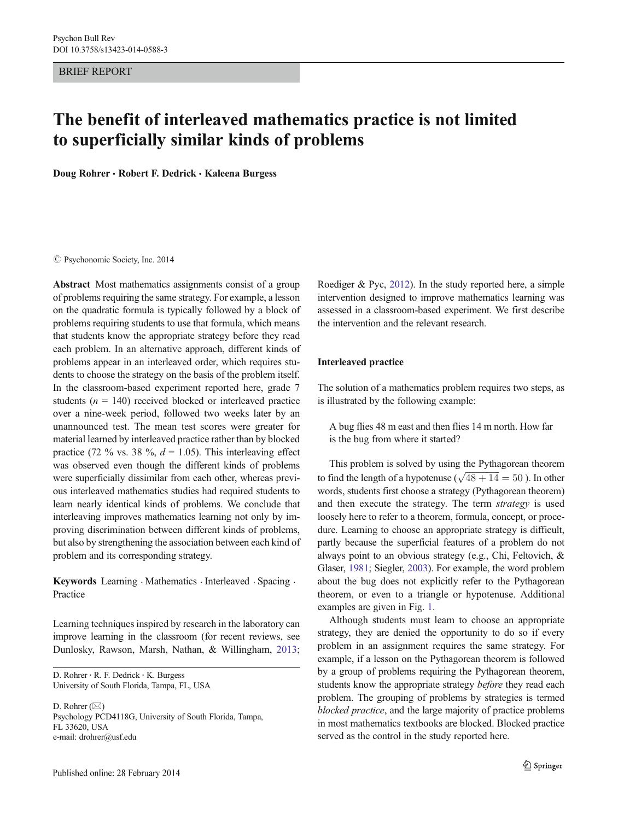BRIEF REPORT

# The benefit of interleaved mathematics practice is not limited to superficially similar kinds of problems

Doug Rohrer · Robert F. Dedrick · Kaleena Burgess

#### $\oslash$  Psychonomic Society, Inc. 2014

Abstract Most mathematics assignments consist of a group of problems requiring the same strategy. For example, a lesson on the quadratic formula is typically followed by a block of problems requiring students to use that formula, which means that students know the appropriate strategy before they read each problem. In an alternative approach, different kinds of problems appear in an interleaved order, which requires students to choose the strategy on the basis of the problem itself. In the classroom-based experiment reported here, grade 7 students ( $n = 140$ ) received blocked or interleaved practice over a nine-week period, followed two weeks later by an unannounced test. The mean test scores were greater for material learned by interleaved practice rather than by blocked practice (72 % vs. 38 %,  $d = 1.05$ ). This interleaving effect was observed even though the different kinds of problems were superficially dissimilar from each other, whereas previous interleaved mathematics studies had required students to learn nearly identical kinds of problems. We conclude that interleaving improves mathematics learning not only by improving discrimination between different kinds of problems, but also by strengthening the association between each kind of problem and its corresponding strategy.

Keywords Learning . Mathematics . Interleaved . Spacing . Practice

Learning techniques inspired by research in the laboratory can improve learning in the classroom (for recent reviews, see Dunlosky, Rawson, Marsh, Nathan, & Willingham, [2013](#page-7-0);

D. Rohrer : R. F. Dedrick : K. Burgess University of South Florida, Tampa, FL, USA

D. Rohrer  $(\boxtimes)$ Psychology PCD4118G, University of South Florida, Tampa, FL 33620, USA e-mail: drohrer@usf.edu

Roediger & Pyc, [2012](#page-7-0)). In the study reported here, a simple intervention designed to improve mathematics learning was assessed in a classroom-based experiment. We first describe the intervention and the relevant research.

## Interleaved practice

The solution of a mathematics problem requires two steps, as is illustrated by the following example:

A bug flies 48 m east and then flies 14 m north. How far is the bug from where it started?

This problem is solved by using the Pythagorean theorem This problem is solved by using the Pythagorean theorem<br>to find the length of a hypotenuse ( $\sqrt{48 + 14} = 50$ ). In other words, students first choose a strategy (Pythagorean theorem) and then execute the strategy. The term strategy is used loosely here to refer to a theorem, formula, concept, or procedure. Learning to choose an appropriate strategy is difficult, partly because the superficial features of a problem do not always point to an obvious strategy (e.g., Chi, Feltovich, & Glaser, [1981;](#page-7-0) Siegler, [2003](#page-7-0)). For example, the word problem about the bug does not explicitly refer to the Pythagorean theorem, or even to a triangle or hypotenuse. Additional examples are given in Fig. [1](#page-1-0).

Although students must learn to choose an appropriate strategy, they are denied the opportunity to do so if every problem in an assignment requires the same strategy. For example, if a lesson on the Pythagorean theorem is followed by a group of problems requiring the Pythagorean theorem, students know the appropriate strategy before they read each problem. The grouping of problems by strategies is termed blocked practice, and the large majority of practice problems in most mathematics textbooks are blocked. Blocked practice served as the control in the study reported here.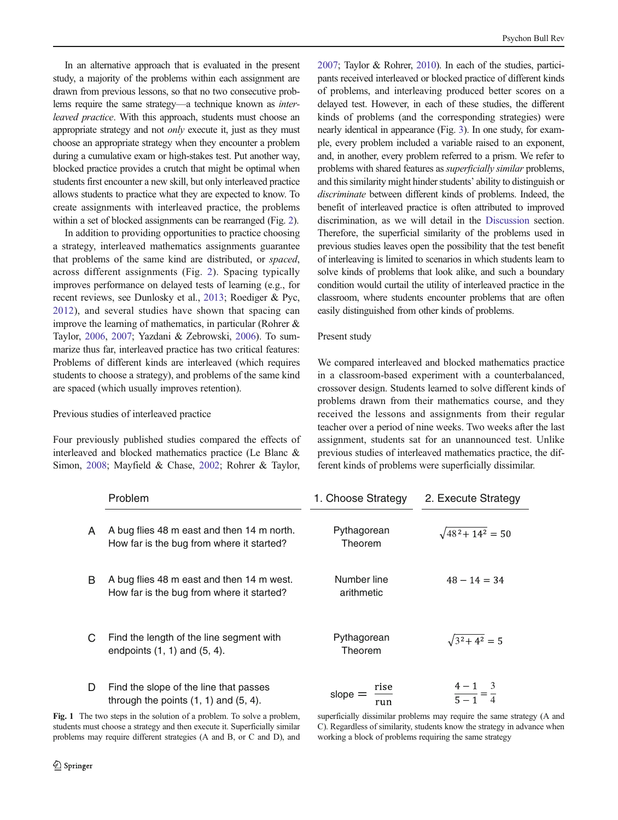<span id="page-1-0"></span>In an alternative approach that is evaluated in the present study, a majority of the problems within each assignment are drawn from previous lessons, so that no two consecutive problems require the same strategy—a technique known as interleaved practice. With this approach, students must choose an appropriate strategy and not only execute it, just as they must choose an appropriate strategy when they encounter a problem during a cumulative exam or high-stakes test. Put another way, blocked practice provides a crutch that might be optimal when students first encounter a new skill, but only interleaved practice allows students to practice what they are expected to know. To create assignments with interleaved practice, the problems within a set of blocked assignments can be rearranged (Fig. [2\)](#page-2-0).

In addition to providing opportunities to practice choosing a strategy, interleaved mathematics assignments guarantee that problems of the same kind are distributed, or spaced, across different assignments (Fig. [2](#page-2-0)). Spacing typically improves performance on delayed tests of learning (e.g., for recent reviews, see Dunlosky et al., [2013;](#page-7-0) Roediger & Pyc, [2012](#page-7-0)), and several studies have shown that spacing can improve the learning of mathematics, in particular (Rohrer & Taylor, [2006](#page-7-0), [2007](#page-7-0); Yazdani & Zebrowski, [2006\)](#page-7-0). To summarize thus far, interleaved practice has two critical features: Problems of different kinds are interleaved (which requires students to choose a strategy), and problems of the same kind are spaced (which usually improves retention).

## Previous studies of interleaved practice

Four previously published studies compared the effects of interleaved and blocked mathematics practice (Le Blanc & Simon, [2008;](#page-7-0) Mayfield & Chase, [2002;](#page-7-0) Rohrer & Taylor,

[2007;](#page-7-0) Taylor & Rohrer, [2010](#page-7-0)). In each of the studies, participants received interleaved or blocked practice of different kinds of problems, and interleaving produced better scores on a delayed test. However, in each of these studies, the different kinds of problems (and the corresponding strategies) were nearly identical in appearance (Fig. [3\)](#page-3-0). In one study, for example, every problem included a variable raised to an exponent, and, in another, every problem referred to a prism. We refer to problems with shared features as superficially similar problems, and this similarity might hinder students' ability to distinguish or discriminate between different kinds of problems. Indeed, the benefit of interleaved practice is often attributed to improved discrimination, as we will detail in the [Discussion](#page-5-0) section. Therefore, the superficial similarity of the problems used in previous studies leaves open the possibility that the test benefit of interleaving is limited to scenarios in which students learn to solve kinds of problems that look alike, and such a boundary condition would curtail the utility of interleaved practice in the classroom, where students encounter problems that are often easily distinguished from other kinds of problems.

#### Present study

We compared interleaved and blocked mathematics practice in a classroom-based experiment with a counterbalanced, crossover design. Students learned to solve different kinds of problems drawn from their mathematics course, and they received the lessons and assignments from their regular teacher over a period of nine weeks. Two weeks after the last assignment, students sat for an unannounced test. Unlike previous studies of interleaved mathematics practice, the different kinds of problems were superficially dissimilar.

|   | Problem                                                                                 | 1. Choose Strategy        | 2. Execute Strategy   |
|---|-----------------------------------------------------------------------------------------|---------------------------|-----------------------|
| A | A bug flies 48 m east and then 14 m north.<br>How far is the bug from where it started? | Pythagorean<br>Theorem    | $\sqrt{48^2+14^2}=50$ |
| B | A bug flies 48 m east and then 14 m west.<br>How far is the bug from where it started?  | Number line<br>arithmetic | $48 - 14 = 34$        |
| C | Find the length of the line segment with<br>endpoints $(1, 1)$ and $(5, 4)$ .           | Pythagorean<br>Theorem    | $\sqrt{3^2+4^2}=5$    |
| D | Find the slope of the line that passes<br>through the points $(1, 1)$ and $(5, 4)$ .    | rise<br>slope<br>run      | $4 - 1 = 3$           |

Fig. 1 The two steps in the solution of a problem. To solve a problem, students must choose a strategy and then execute it. Superficially similar problems may require different strategies (A and B, or C and D), and

superficially dissimilar problems may require the same strategy (A and C). Regardless of similarity, students know the strategy in advance when working a block of problems requiring the same strategy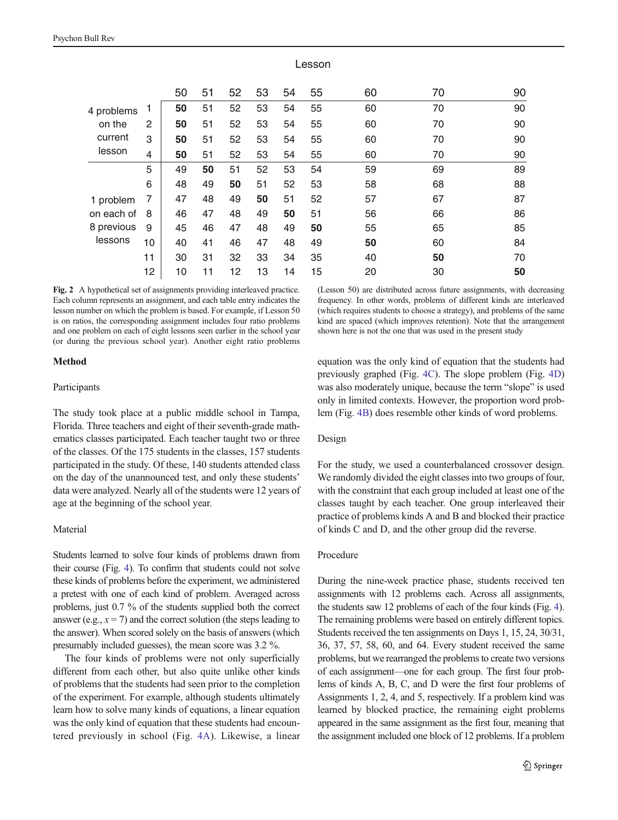<span id="page-2-0"></span>

|            |              | 50 | 51 | 52 | 53 | 54 | 55 | 60 | 70 | 90 |
|------------|--------------|----|----|----|----|----|----|----|----|----|
| 4 problems |              | 50 | 51 | 52 | 53 | 54 | 55 | 60 | 70 | 90 |
| on the     | $\mathbf{2}$ | 50 | 51 | 52 | 53 | 54 | 55 | 60 | 70 | 90 |
| current    | 3            | 50 | 51 | 52 | 53 | 54 | 55 | 60 | 70 | 90 |
| lesson     | 4            | 50 | 51 | 52 | 53 | 54 | 55 | 60 | 70 | 90 |
|            | 5            | 49 | 50 | 51 | 52 | 53 | 54 | 59 | 69 | 89 |
|            | 6            | 48 | 49 | 50 | 51 | 52 | 53 | 58 | 68 | 88 |
| 1 problem  | 7            | 47 | 48 | 49 | 50 | 51 | 52 | 57 | 67 | 87 |
| on each of | 8            | 46 | 47 | 48 | 49 | 50 | 51 | 56 | 66 | 86 |
| 8 previous | 9            | 45 | 46 | 47 | 48 | 49 | 50 | 55 | 65 | 85 |
| lessons    | 10           | 40 | 41 | 46 | 47 | 48 | 49 | 50 | 60 | 84 |
|            | 11           | 30 | 31 | 32 | 33 | 34 | 35 | 40 | 50 | 70 |
|            | 12           | 10 | 11 | 12 | 13 | 14 | 15 | 20 | 30 | 50 |

Lesson

Fig. 2 A hypothetical set of assignments providing interleaved practice. Each column represents an assignment, and each table entry indicates the lesson number on which the problem is based. For example, if Lesson 50 is on ratios, the corresponding assignment includes four ratio problems and one problem on each of eight lessons seen earlier in the school year (or during the previous school year). Another eight ratio problems

## Method

#### Participants

The study took place at a public middle school in Tampa, Florida. Three teachers and eight of their seventh-grade mathematics classes participated. Each teacher taught two or three of the classes. Of the 175 students in the classes, 157 students participated in the study. Of these, 140 students attended class on the day of the unannounced test, and only these students' data were analyzed. Nearly all of the students were 12 years of age at the beginning of the school year.

## **Material**

Students learned to solve four kinds of problems drawn from their course (Fig. [4](#page-4-0)). To confirm that students could not solve these kinds of problems before the experiment, we administered a pretest with one of each kind of problem. Averaged across problems, just 0.7 % of the students supplied both the correct answer (e.g.,  $x = 7$ ) and the correct solution (the steps leading to the answer). When scored solely on the basis of answers (which presumably included guesses), the mean score was 3.2 %.

The four kinds of problems were not only superficially different from each other, but also quite unlike other kinds of problems that the students had seen prior to the completion of the experiment. For example, although students ultimately learn how to solve many kinds of equations, a linear equation was the only kind of equation that these students had encountered previously in school (Fig. [4A\)](#page-4-0). Likewise, a linear (Lesson 50) are distributed across future assignments, with decreasing frequency. In other words, problems of different kinds are interleaved (which requires students to choose a strategy), and problems of the same kind are spaced (which improves retention). Note that the arrangement shown here is not the one that was used in the present study

equation was the only kind of equation that the students had previously graphed (Fig. [4C](#page-4-0)). The slope problem (Fig. [4D](#page-4-0)) was also moderately unique, because the term "slope" is used only in limited contexts. However, the proportion word problem (Fig. [4B\)](#page-4-0) does resemble other kinds of word problems.

#### Design

For the study, we used a counterbalanced crossover design. We randomly divided the eight classes into two groups of four, with the constraint that each group included at least one of the classes taught by each teacher. One group interleaved their practice of problems kinds A and B and blocked their practice of kinds C and D, and the other group did the reverse.

#### Procedure

During the nine-week practice phase, students received ten assignments with 12 problems each. Across all assignments, the students saw 12 problems of each of the four kinds (Fig. [4\)](#page-4-0). The remaining problems were based on entirely different topics. Students received the ten assignments on Days 1, 15, 24, 30/31, 36, 37, 57, 58, 60, and 64. Every student received the same problems, but we rearranged the problems to create two versions of each assignment—one for each group. The first four problems of kinds A, B, C, and D were the first four problems of Assignments 1, 2, 4, and 5, respectively. If a problem kind was learned by blocked practice, the remaining eight problems appeared in the same assignment as the first four, meaning that the assignment included one block of 12 problems. If a problem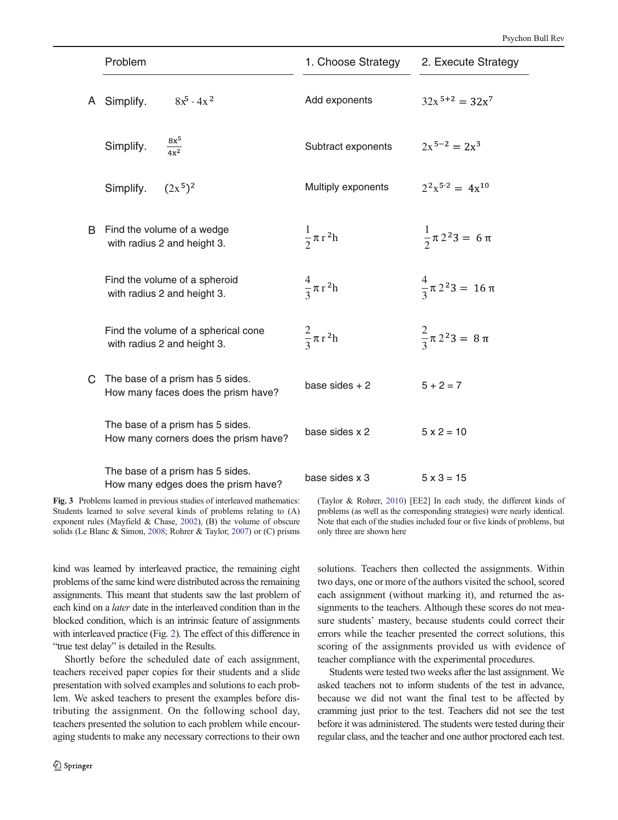<span id="page-3-0"></span>

|    | Problem                                                                   | 1. Choose Strategy      | 2. Execute Strategy             |
|----|---------------------------------------------------------------------------|-------------------------|---------------------------------|
| A  | $8x^5 \cdot 4x^2$<br>Simplify.                                            | Add exponents           | $32x^{5+2} = 32x^7$             |
|    | $\frac{8x^5}{4x^2}$<br>Simplify.                                          | Subtract exponents      | $2x^{5-2} = 2x^3$               |
|    | $(2x^5)^2$<br>Simplify.                                                   | Multiply exponents      | $2^2x^{5\cdot 2} = 4x^{10}$     |
| B. | Find the volume of a wedge<br>with radius 2 and height 3.                 | $rac{1}{2} \pi r^2 h$   | $\frac{1}{2} \pi 2^2 3 = 6 \pi$ |
|    | Find the volume of a spheroid<br>with radius 2 and height 3.              | $\frac{4}{2} \pi r^2 h$ | $\frac{4}{3}\pi 2^2 3 = 16 \pi$ |
|    | Find the volume of a spherical cone<br>with radius 2 and height 3.        | $rac{2}{3}\pi r^2h$     | $\frac{2}{3}\pi 2^2 3 = 8 \pi$  |
| C. | The base of a prism has 5 sides.<br>How many faces does the prism have?   | base sides $+2$         | $5 + 2 = 7$                     |
|    | The base of a prism has 5 sides.<br>How many corners does the prism have? | base sides x 2          | $5 \times 2 = 10$               |
|    | The base of a prism has 5 sides.<br>How many edges does the prism have?   | base sides x 3          | $5 \times 3 = 15$               |

Fig. 3 Problems learned in previous studies of interleaved mathematics: Students learned to solve several kinds of problems relating to (A) exponent rules (Mayfield & Chase, [2002\)](#page-7-0), (B) the volume of obscure solids (Le Blanc & Simon, [2008](#page-7-0); Rohrer & Taylor, [2007\)](#page-7-0) or (C) prisms

kind was learned by interleaved practice, the remaining eight problems of the same kind were distributed across the remaining assignments. This meant that students saw the last problem of each kind on a later date in the interleaved condition than in the blocked condition, which is an intrinsic feature of assignments with interleaved practice (Fig. [2](#page-2-0)). The effect of this difference in "true test delay" is detailed in the Results.

Shortly before the scheduled date of each assignment, teachers received paper copies for their students and a slide presentation with solved examples and solutions to each problem. We asked teachers to present the examples before distributing the assignment. On the following school day, teachers presented the solution to each problem while encouraging students to make any necessary corrections to their own (Taylor & Rohrer, [2010\)](#page-7-0) [EE2] In each study, the different kinds of problems (as well as the corresponding strategies) were nearly identical. Note that each of the studies included four or five kinds of problems, but only three are shown here

solutions. Teachers then collected the assignments. Within two days, one or more of the authors visited the school, scored each assignment (without marking it), and returned the assignments to the teachers. Although these scores do not measure students' mastery, because students could correct their errors while the teacher presented the correct solutions, this scoring of the assignments provided us with evidence of teacher compliance with the experimental procedures.

Students were tested two weeks after the last assignment. We asked teachers not to inform students of the test in advance, because we did not want the final test to be affected by cramming just prior to the test. Teachers did not see the test before it was administered. The students were tested during their regular class, and the teacher and one author proctored each test.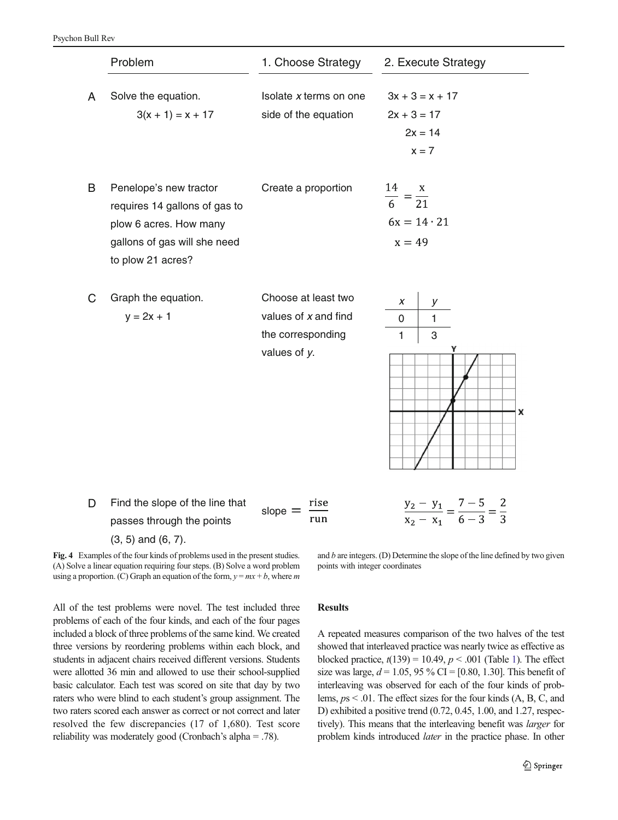<span id="page-4-0"></span>

|   | Problem                                                                                                                                | 1. Choose Strategy                                                                    | 2. Execute Strategy                                             |
|---|----------------------------------------------------------------------------------------------------------------------------------------|---------------------------------------------------------------------------------------|-----------------------------------------------------------------|
| A | Solve the equation.<br>$3(x + 1) = x + 17$                                                                                             | Isolate x terms on one<br>side of the equation                                        | $3x + 3 = x + 17$<br>$2x + 3 = 17$<br>$2x = 14$<br>$x = 7$      |
| B | Penelope's new tractor<br>requires 14 gallons of gas to<br>plow 6 acres. How many<br>gallons of gas will she need<br>to plow 21 acres? | Create a proportion                                                                   | $\frac{14}{6} = \frac{x}{21}$<br>$6x = 14$ 21<br>$x = 49$       |
| C | Graph the equation.<br>$y = 2x + 1$                                                                                                    | Choose at least two<br>values of $x$ and find<br>the corresponding<br>values of $y$ . | X<br>у<br>$\mathbf{1}$<br>0<br>$\mathbf{1}$<br>3<br>Y<br>x      |
| D | Find the slope of the line that<br>passes through the points<br>$(3, 5)$ and $(6, 7)$ .                                                | rise<br>slope $=$<br>run                                                              | $rac{y_2 - y_1}{x_2 - x_1} = \frac{7 - 5}{6 - 3} = \frac{2}{3}$ |

Fig. 4 Examples of the four kinds of problems used in the present studies. (A) Solve a linear equation requiring four steps. (B) Solve a word problem using a proportion. (C) Graph an equation of the form,  $y = mx + b$ , where m

and  $b$  are integers. (D) Determine the slope of the line defined by two given points with integer coordinates

All of the test problems were novel. The test included three problems of each of the four kinds, and each of the four pages included a block of three problems of the same kind. We created three versions by reordering problems within each block, and students in adjacent chairs received different versions. Students were allotted 36 min and allowed to use their school-supplied basic calculator. Each test was scored on site that day by two raters who were blind to each student's group assignment. The two raters scored each answer as correct or not correct and later resolved the few discrepancies (17 of 1,680). Test score reliability was moderately good (Cronbach's alpha = .78).

## Results

A repeated measures comparison of the two halves of the test showed that interleaved practice was nearly twice as effective as blocked practice,  $t(139) = 10.49$  $t(139) = 10.49$  $t(139) = 10.49$ ,  $p < .001$  (Table 1). The effect size was large,  $d = 1.05$ , 95 % CI = [0.80, 1.30]. This benefit of interleaving was observed for each of the four kinds of problems, ps < .01. The effect sizes for the four kinds (A, B, C, and D) exhibited a positive trend (0.72, 0.45, 1.00, and 1.27, respectively). This means that the interleaving benefit was larger for problem kinds introduced later in the practice phase. In other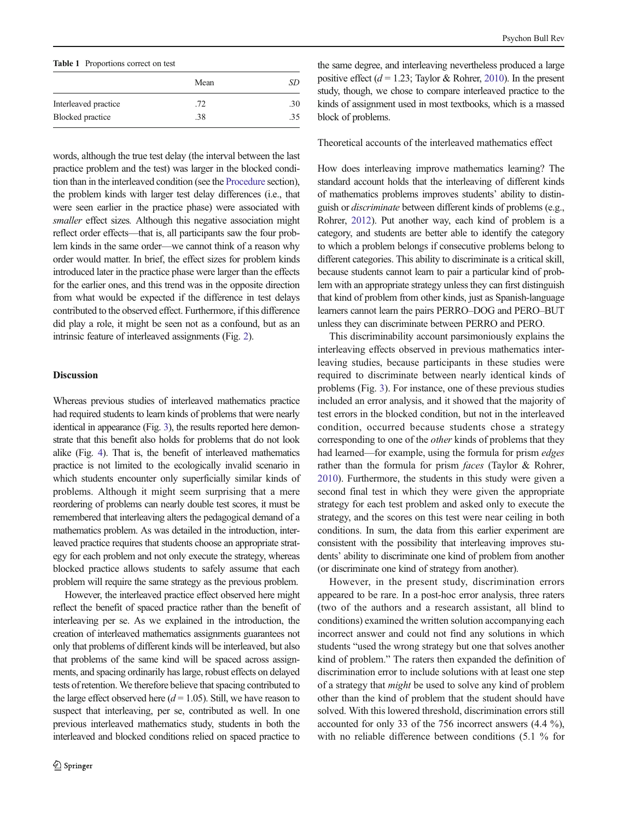<span id="page-5-0"></span>Table 1 Proportions correct on test

|                      | Mean | SD  |  |
|----------------------|------|-----|--|
| Interleaved practice | .72  | .30 |  |
| Blocked practice     | .38  | 35  |  |

words, although the true test delay (the interval between the last practice problem and the test) was larger in the blocked condition than in the interleaved condition (see the [Procedure](#page-2-0) section), the problem kinds with larger test delay differences (i.e., that were seen earlier in the practice phase) were associated with smaller effect sizes. Although this negative association might reflect order effects—that is, all participants saw the four problem kinds in the same order—we cannot think of a reason why order would matter. In brief, the effect sizes for problem kinds introduced later in the practice phase were larger than the effects for the earlier ones, and this trend was in the opposite direction from what would be expected if the difference in test delays contributed to the observed effect. Furthermore, if this difference did play a role, it might be seen not as a confound, but as an intrinsic feature of interleaved assignments (Fig. [2](#page-2-0)).

## **Discussion**

Whereas previous studies of interleaved mathematics practice had required students to learn kinds of problems that were nearly identical in appearance (Fig. [3](#page-3-0)), the results reported here demonstrate that this benefit also holds for problems that do not look alike (Fig. [4\)](#page-4-0). That is, the benefit of interleaved mathematics practice is not limited to the ecologically invalid scenario in which students encounter only superficially similar kinds of problems. Although it might seem surprising that a mere reordering of problems can nearly double test scores, it must be remembered that interleaving alters the pedagogical demand of a mathematics problem. As was detailed in the introduction, interleaved practice requires that students choose an appropriate strategy for each problem and not only execute the strategy, whereas blocked practice allows students to safely assume that each problem will require the same strategy as the previous problem.

However, the interleaved practice effect observed here might reflect the benefit of spaced practice rather than the benefit of interleaving per se. As we explained in the introduction, the creation of interleaved mathematics assignments guarantees not only that problems of different kinds will be interleaved, but also that problems of the same kind will be spaced across assignments, and spacing ordinarily has large, robust effects on delayed tests of retention. We therefore believe that spacing contributed to the large effect observed here  $(d = 1.05)$ . Still, we have reason to suspect that interleaving, per se, contributed as well. In one previous interleaved mathematics study, students in both the interleaved and blocked conditions relied on spaced practice to

the same degree, and interleaving nevertheless produced a large positive effect ( $d = 1.23$ ; Taylor & Rohrer, [2010\)](#page-7-0). In the present study, though, we chose to compare interleaved practice to the kinds of assignment used in most textbooks, which is a massed block of problems.

## Theoretical accounts of the interleaved mathematics effect

How does interleaving improve mathematics learning? The standard account holds that the interleaving of different kinds of mathematics problems improves students' ability to distinguish or discriminate between different kinds of problems (e.g., Rohrer, [2012\)](#page-7-0). Put another way, each kind of problem is a category, and students are better able to identify the category to which a problem belongs if consecutive problems belong to different categories. This ability to discriminate is a critical skill, because students cannot learn to pair a particular kind of problem with an appropriate strategy unless they can first distinguish that kind of problem from other kinds, just as Spanish-language learners cannot learn the pairs PERRO–DOG and PERO–BUT unless they can discriminate between PERRO and PERO.

This discriminability account parsimoniously explains the interleaving effects observed in previous mathematics interleaving studies, because participants in these studies were required to discriminate between nearly identical kinds of problems (Fig. [3\)](#page-3-0). For instance, one of these previous studies included an error analysis, and it showed that the majority of test errors in the blocked condition, but not in the interleaved condition, occurred because students chose a strategy corresponding to one of the other kinds of problems that they had learned—for example, using the formula for prism edges rather than the formula for prism *faces* (Taylor & Rohrer, [2010\)](#page-7-0). Furthermore, the students in this study were given a second final test in which they were given the appropriate strategy for each test problem and asked only to execute the strategy, and the scores on this test were near ceiling in both conditions. In sum, the data from this earlier experiment are consistent with the possibility that interleaving improves students' ability to discriminate one kind of problem from another (or discriminate one kind of strategy from another).

However, in the present study, discrimination errors appeared to be rare. In a post-hoc error analysis, three raters (two of the authors and a research assistant, all blind to conditions) examined the written solution accompanying each incorrect answer and could not find any solutions in which students "used the wrong strategy but one that solves another kind of problem." The raters then expanded the definition of discrimination error to include solutions with at least one step of a strategy that might be used to solve any kind of problem other than the kind of problem that the student should have solved. With this lowered threshold, discrimination errors still accounted for only 33 of the 756 incorrect answers (4.4 %), with no reliable difference between conditions (5.1 % for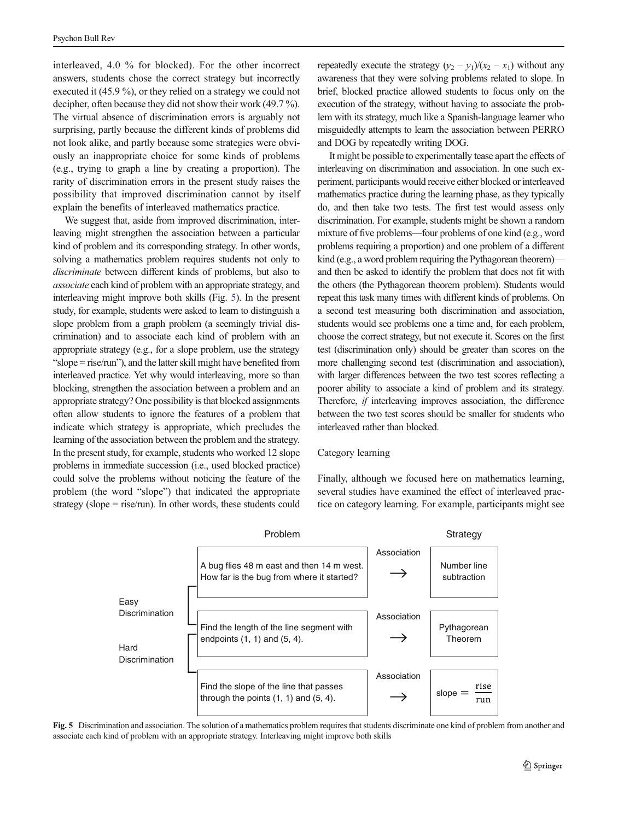interleaved, 4.0 % for blocked). For the other incorrect answers, students chose the correct strategy but incorrectly executed it (45.9 %), or they relied on a strategy we could not decipher, often because they did not show their work (49.7 %). The virtual absence of discrimination errors is arguably not surprising, partly because the different kinds of problems did not look alike, and partly because some strategies were obviously an inappropriate choice for some kinds of problems (e.g., trying to graph a line by creating a proportion). The rarity of discrimination errors in the present study raises the possibility that improved discrimination cannot by itself explain the benefits of interleaved mathematics practice.

We suggest that, aside from improved discrimination, interleaving might strengthen the association between a particular kind of problem and its corresponding strategy. In other words, solving a mathematics problem requires students not only to discriminate between different kinds of problems, but also to associate each kind of problem with an appropriate strategy, and interleaving might improve both skills (Fig. 5). In the present study, for example, students were asked to learn to distinguish a slope problem from a graph problem (a seemingly trivial discrimination) and to associate each kind of problem with an appropriate strategy (e.g., for a slope problem, use the strategy "slope = rise/run"), and the latter skill might have benefited from interleaved practice. Yet why would interleaving, more so than blocking, strengthen the association between a problem and an appropriate strategy? One possibility is that blocked assignments often allow students to ignore the features of a problem that indicate which strategy is appropriate, which precludes the learning of the association between the problem and the strategy. In the present study, for example, students who worked 12 slope problems in immediate succession (i.e., used blocked practice) could solve the problems without noticing the feature of the problem (the word "slope") that indicated the appropriate strategy (slope  $=$  rise/run). In other words, these students could repeatedly execute the strategy  $(y_2 - y_1)/(x_2 - x_1)$  without any awareness that they were solving problems related to slope. In brief, blocked practice allowed students to focus only on the execution of the strategy, without having to associate the problem with its strategy, much like a Spanish-language learner who misguidedly attempts to learn the association between PERRO and DOG by repeatedly writing DOG.

It might be possible to experimentally tease apart the effects of interleaving on discrimination and association. In one such experiment, participants would receive either blocked or interleaved mathematics practice during the learning phase, as they typically do, and then take two tests. The first test would assess only discrimination. For example, students might be shown a random mixture of five problems—four problems of one kind (e.g., word problems requiring a proportion) and one problem of a different kind (e.g., a word problem requiring the Pythagorean theorem) and then be asked to identify the problem that does not fit with the others (the Pythagorean theorem problem). Students would repeat this task many times with different kinds of problems. On a second test measuring both discrimination and association, students would see problems one a time and, for each problem, choose the correct strategy, but not execute it. Scores on the first test (discrimination only) should be greater than scores on the more challenging second test (discrimination and association), with larger differences between the two test scores reflecting a poorer ability to associate a kind of problem and its strategy. Therefore, if interleaving improves association, the difference between the two test scores should be smaller for students who interleaved rather than blocked.

#### Category learning

Finally, although we focused here on mathematics learning, several studies have examined the effect of interleaved practice on category learning. For example, participants might see



Fig. 5 Discrimination and association. The solution of a mathematics problem requires that students discriminate one kind of problem from another and associate each kind of problem with an appropriate strategy. Interleaving might improve both skills